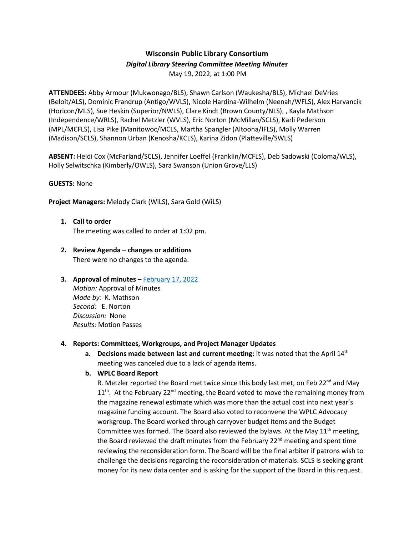# **Wisconsin Public Library Consortium**

## *Digital Library Steering Committee Meeting Minutes*

May 19, 2022, at 1:00 PM

**ATTENDEES:** Abby Armour (Mukwonago/BLS), Shawn Carlson (Waukesha/BLS), Michael DeVries (Beloit/ALS), Dominic Frandrup (Antigo/WVLS), Nicole Hardina-Wilhelm (Neenah/WFLS), Alex Harvancik (Horicon/MLS), Sue Heskin (Superior/NWLS), Clare Kindt (Brown County/NLS), , Kayla Mathson (Independence/WRLS), Rachel Metzler (WVLS), Eric Norton (McMillan/SCLS), Karli Pederson (MPL/MCFLS), Lisa Pike (Manitowoc/MCLS, Martha Spangler (Altoona/IFLS), Molly Warren (Madison/SCLS), Shannon Urban (Kenosha/KCLS), Karina Zidon (Platteville/SWLS)

**ABSENT:** Heidi Cox (McFarland/SCLS), Jennifer Loeffel (Franklin/MCFLS), Deb Sadowski (Coloma/WLS), Holly Selwitschka (Kimberly/OWLS), Sara Swanson (Union Grove/LLS)

### **GUESTS:** None

**Project Managers:** Melody Clark (WiLS), Sara Gold (WiLS)

- **1. Call to order** The meeting was called to order at 1:02 pm.
- **2. Review Agenda – changes or additions** There were no changes to the agenda.

## **3.** Approval of minutes – [February 17, 2022](https://wplc.info/sites/wplc.info/files/02-17-2022%20WPLC%20Steering%20Notes.pdf)

*Motion:* Approval of Minutes *Made by:* K. Mathson *Second:* E. Norton *Discussion:* None *Results:* Motion Passes

## **4. Reports: Committees, Workgroups, and Project Manager Updates**

**a.** Decisions made between last and current meeting: It was noted that the April 14<sup>th</sup> meeting was canceled due to a lack of agenda items.

## **b. WPLC Board Report**

R. Metzler reported the Board met twice since this body last met, on Feb 22<sup>nd</sup> and May  $11<sup>th</sup>$ . At the February 22<sup>nd</sup> meeting, the Board voted to move the remaining money from the magazine renewal estimate which was more than the actual cost into next year's magazine funding account. The Board also voted to reconvene the WPLC Advocacy workgroup. The Board worked through carryover budget items and the Budget Committee was formed. The Board also reviewed the bylaws. At the May  $11<sup>th</sup>$  meeting, the Board reviewed the draft minutes from the February 22<sup>nd</sup> meeting and spent time reviewing the reconsideration form. The Board will be the final arbiter if patrons wish to challenge the decisions regarding the reconsideration of materials. SCLS is seeking grant money for its new data center and is asking for the support of the Board in this request.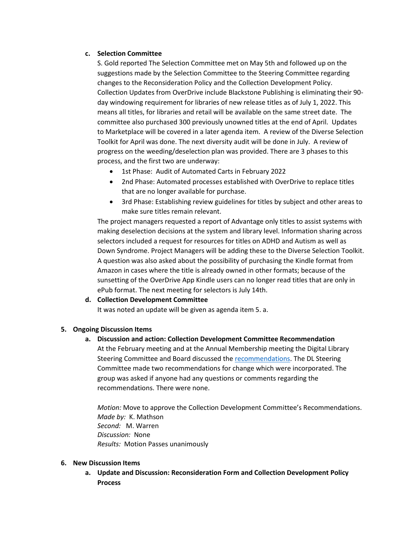### **c. Selection Committee**

S. Gold reported The Selection Committee met on May 5th and followed up on the suggestions made by the Selection Committee to the Steering Committee regarding changes to the Reconsideration Policy and the Collection Development Policy. Collection Updates from OverDrive include Blackstone Publishing is eliminating their 90 day windowing requirement for libraries of new release titles as of July 1, 2022. This means all titles, for libraries and retail will be available on the same street date. The committee also purchased 300 previously unowned titles at the end of April. Updates to Marketplace will be covered in a later agenda item. A review of the Diverse Selection Toolkit for April was done. The next diversity audit will be done in July. A review of progress on the weeding/deselection plan was provided. There are 3 phases to this process, and the first two are underway:

- 1st Phase: Audit of Automated Carts in February 2022
- 2nd Phase: Automated processes established with OverDrive to replace titles that are no longer available for purchase.
- 3rd Phase: Establishing review guidelines for titles by subject and other areas to make sure titles remain relevant.

The project managers requested a report of Advantage only titles to assist systems with making deselection decisions at the system and library level. Information sharing across selectors included a request for resources for titles on ADHD and Autism as well as Down Syndrome. Project Managers will be adding these to the Diverse Selection Toolkit. A question was also asked about the possibility of purchasing the Kindle format from Amazon in cases where the title is already owned in other formats; because of the sunsetting of the OverDrive App Kindle users can no longer read titles that are only in ePub format. The next meeting for selectors is July 14th.

## **d. Collection Development Committee**

It was noted an update will be given as agenda item 5. a.

#### **5. Ongoing Discussion Items**

# **a. Discussion and action: Collection Development Committee Recommendation**

At the February meeting and at the Annual Membership meeting the Digital Library Steering Committee and Board discussed the [recommendations.](https://wplc.info/sites/wplc.info/files/WPLC%20Collection%20Development%20Policy%20DRAFT%20REVISIONS%20March%202022.pdf) The DL Steering Committee made two recommendations for change which were incorporated. The group was asked if anyone had any questions or comments regarding the recommendations. There were none.

*Motion:* Move to approve the Collection Development Committee's Recommendations. *Made by:* K. Mathson *Second:* M. Warren *Discussion:* None *Results:* Motion Passes unanimously

#### **6. New Discussion Items**

**a. Update and Discussion: Reconsideration Form and Collection Development Policy Process**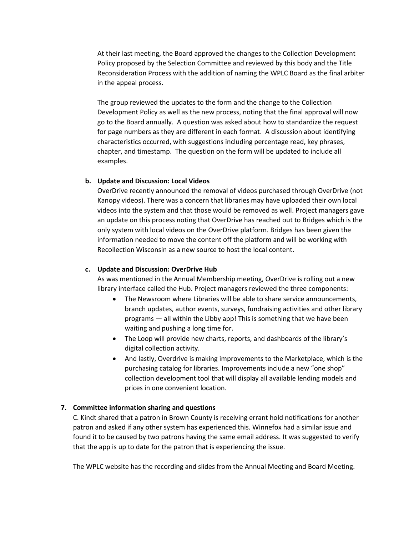At their last meeting, the Board approved the changes to the Collection Development Policy proposed by the Selection Committee and reviewed by this body and the Title Reconsideration Process with the addition of naming the WPLC Board as the final arbiter in the appeal process.

The group reviewed the updates to the form and the change to the Collection Development Policy as well as the new process, noting that the final approval will now go to the Board annually. A question was asked about how to standardize the request for page numbers as they are different in each format. A discussion about identifying characteristics occurred, with suggestions including percentage read, key phrases, chapter, and timestamp. The question on the form will be updated to include all examples.

#### **b. Update and Discussion: Local Videos**

OverDrive recently announced the removal of videos purchased through OverDrive (not Kanopy videos). There was a concern that libraries may have uploaded their own local videos into the system and that those would be removed as well. Project managers gave an update on this process noting that OverDrive has reached out to Bridges which is the only system with local videos on the OverDrive platform. Bridges has been given the information needed to move the content off the platform and will be working with Recollection Wisconsin as a new source to host the local content.

#### **c. Update and Discussion: OverDrive Hub**

As was mentioned in the Annual Membership meeting, OverDrive is rolling out a new library interface called the Hub. Project managers reviewed the three components:

- The Newsroom where Libraries will be able to share service announcements, branch updates, author events, surveys, fundraising activities and other library programs — all within the Libby app! This is something that we have been waiting and pushing a long time for.
- The Loop will provide new charts, reports, and dashboards of the library's digital collection activity.
- And lastly, Overdrive is making improvements to the Marketplace, which is the purchasing catalog for libraries. Improvements include a new "one shop" collection development tool that will display all available lending models and prices in one convenient location.

#### **7. Committee information sharing and questions**

C. Kindt shared that a patron in Brown County is receiving errant hold notifications for another patron and asked if any other system has experienced this. Winnefox had a similar issue and found it to be caused by two patrons having the same email address. It was suggested to verify that the app is up to date for the patron that is experiencing the issue.

The WPLC website has the recording and slides from the Annual Meeting and Board Meeting.